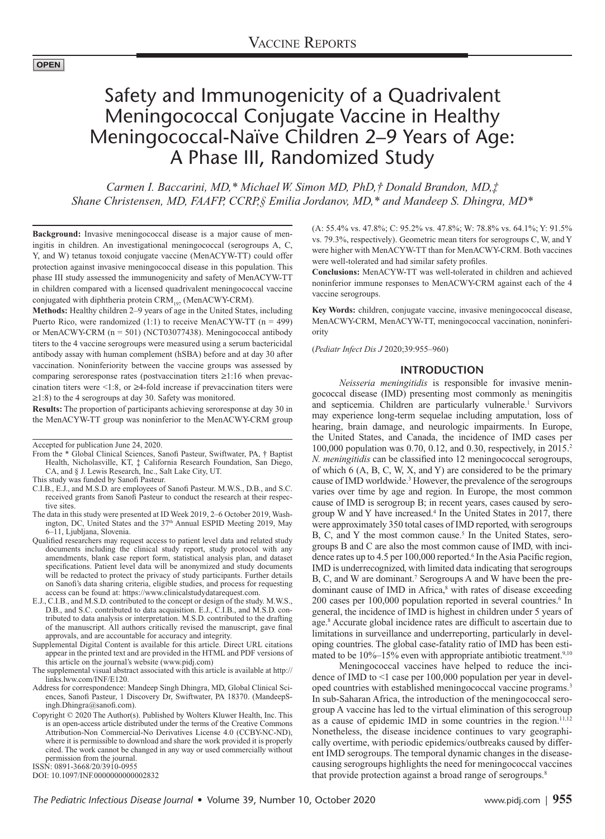#### **OPEN**

# Safety and Immunogenicity of a Quadrivalent Meningococcal Conjugate Vaccine in Healthy Meningococcal-Naïve Children 2-9 Years of Age: A Phase III, Randomized Study

*Carmen I. Baccarini, MD,\* Michael W. Simon MD, PhD,† Donald Brandon, MD,‡ Shane Christensen, MD, FAAFP, CCRP,§ Emilia Jordanov, MD,\* and Mandeep S. Dhingra, MD\**

**Background:** Invasive meningococcal disease is a major cause of meningitis in children. An investigational meningococcal (serogroups A, C, Y, and W) tetanus toxoid conjugate vaccine (MenACYW-TT) could offer protection against invasive meningococcal disease in this population. This phase III study assessed the immunogenicity and safety of MenACYW-TT in children compared with a licensed quadrivalent meningococcal vaccine conjugated with diphtheria protein CRM<sub>197</sub> (MenACWY-CRM).

**Methods:** Healthy children 2–9 years of age in the United States, including Puerto Rico, were randomized  $(1:1)$  to receive MenACYW-TT  $(n = 499)$ or MenACWY-CRM (n = 501) (NCT03077438). Meningococcal antibody titers to the 4 vaccine serogroups were measured using a serum bactericidal antibody assay with human complement (hSBA) before and at day 30 after vaccination. Noninferiority between the vaccine groups was assessed by comparing seroresponse rates (postvaccination titers ≥1:16 when prevaccination titers were  $\leq 1:8$ , or  $\geq 4$ -fold increase if prevaccination titers were ≥1:8) to the 4 serogroups at day 30. Safety was monitored.

**Results:** The proportion of participants achieving seroresponse at day 30 in the MenACYW-TT group was noninferior to the MenACWY-CRM group

- From the \* Global Clinical Sciences, Sanofi Pasteur, Swiftwater, PA, † Baptist Health, Nicholasville, KT, ‡ California Research Foundation, San Diego, CA, and § J. Lewis Research, Inc., Salt Lake City, UT.
- This study was funded by Sanofi Pasteur.
- C.I.B., E.J., and M.S.D. are employees of Sanofi Pasteur. M.W.S., D.B., and S.C. received grants from Sanofi Pasteur to conduct the research at their respective sites.
- The data in this study were presented at ID Week 2019, 2–6 October 2019, Washington, DC, United States and the 37<sup>th</sup> Annual ESPID Meeting 2019, May 6–11, Ljubljana, Slovenia.
- Qualified researchers may request access to patient level data and related study documents including the clinical study report, study protocol with any amendments, blank case report form, statistical analysis plan, and dataset specifications. Patient level data will be anonymized and study documents will be redacted to protect the privacy of study participants. Further details on Sanofi's data sharing criteria, eligible studies, and process for requesting access can be found at: [https://www.clinicalstudydatarequest.com.](https://www.clinicalstudydatarequest.com)
- E.J., C.I.B., and M.S.D. contributed to the concept or design of the study. M.W.S., D.B., and S.C. contributed to data acquisition. E.J., C.I.B., and M.S.D. contributed to data analysis or interpretation. M.S.D. contributed to the drafting of the manuscript. All authors critically revised the manuscript, gave final approvals, and are accountable for accuracy and integrity.
- Supplemental Digital Content is available for this article. Direct URL citations appear in the printed text and are provided in the HTML and PDF versions of this article on the journal's website (<www.pidj.com>)

The supplemental visual abstract associated with this article is available at [http://](http://links.lww.com/INF/E120) [links.lww.com/INF/E120](http://links.lww.com/INF/E120).

- Address for correspondence: Mandeep Singh Dhingra, MD, Global Clinical Sciences, Sanofi Pasteur, 1 Discovery Dr, Swiftwater, PA 18370. (MandeepSingh.Dhingra@sanofi.com).
- Copyright © 2020 The Author(s). Published by Wolters Kluwer Health, Inc. This is an open-access article distributed under the terms of the [Creative Commons](http://creativecommons.org/licenses/by-nc-nd/4.0/)  [Attribution-Non Commercial-No Derivatives License 4.0 \(CCBY-NC-ND\)](http://creativecommons.org/licenses/by-nc-nd/4.0/), where it is permissible to download and share the work provided it is properly cited. The work cannot be changed in any way or used commercially without permission from the journal.

ISSN: 0891-3668/20/3910-0955

DOI: 10.1097/INF.0000000000002832

(A: 55.4% vs. 47.8%; C: 95.2% vs. 47.8%; W: 78.8% vs. 64.1%; Y: 91.5% vs. 79.3%, respectively). Geometric mean titers for serogroups C, W, and Y were higher with MenACYW-TT than for MenACWY-CRM. Both vaccines were well-tolerated and had similar safety profiles.

**Conclusions:** MenACYW-TT was well-tolerated in children and achieved noninferior immune responses to MenACWY-CRM against each of the 4 vaccine serogroups.

**Key Words:** children, conjugate vaccine, invasive meningococcal disease, MenACWY-CRM, MenACYW-TT, meningococcal vaccination, noninferiority

(*Pediatr Infect Dis J* 2020;39:955–960)

#### **INTRODUCTION**

*Neisseria meningitidis* is responsible for invasive meningococcal disease (IMD) presenting most commonly as meningitis and septicemia. Children are particularly vulnerable.<sup>1</sup> Survivors may experience long-term sequelae including amputation, loss of hearing, brain damage, and neurologic impairments. In Europe, the United States, and Canada, the incidence of IMD cases per 100,000 population was 0.70, 0.12, and 0.30, respectively, in 2015.2 *N. meningitidis* can be classified into 12 meningococcal serogroups, of which 6 (A, B, C, W, X, and Y) are considered to be the primary cause of IMD worldwide.<sup>3</sup> However, the prevalence of the serogroups varies over time by age and region. In Europe, the most common cause of IMD is serogroup B; in recent years, cases caused by serogroup W and Y have increased.4 In the United States in 2017, there were approximately 350 total cases of IMD reported, with serogroups B, C, and Y the most common cause.<sup>5</sup> In the United States, serogroups B and C are also the most common cause of IMD, with incidence rates up to 4.5 per 100,000 reported.<sup>6</sup> In the Asia Pacific region, IMD is underrecognized, with limited data indicating that serogroups B, C, and W are dominant.<sup>7</sup> Serogroups A and W have been the predominant cause of IMD in Africa,<sup>8</sup> with rates of disease exceeding 200 cases per 100,000 population reported in several countries.<sup>6</sup> In general, the incidence of IMD is highest in children under 5 years of age.8 Accurate global incidence rates are difficult to ascertain due to limitations in surveillance and underreporting, particularly in developing countries. The global case-fatality ratio of IMD has been estimated to be  $10\%$ –15% even with appropriate antibiotic treatment.<sup>9,10</sup>

Meningococcal vaccines have helped to reduce the incidence of IMD to <1 case per 100,000 population per year in developed countries with established meningococcal vaccine programs.<sup>3</sup> In sub-Saharan Africa, the introduction of the meningococcal serogroup A vaccine has led to the virtual elimination of this serogroup as a cause of epidemic IMD in some countries in the region.<sup>11,12</sup> Nonetheless, the disease incidence continues to vary geographically overtime, with periodic epidemics/outbreaks caused by different IMD serogroups. The temporal dynamic changes in the diseasecausing serogroups highlights the need for meningococcal vaccines that provide protection against a broad range of serogroups.<sup>8</sup>

Accepted for publication June 24, 2020.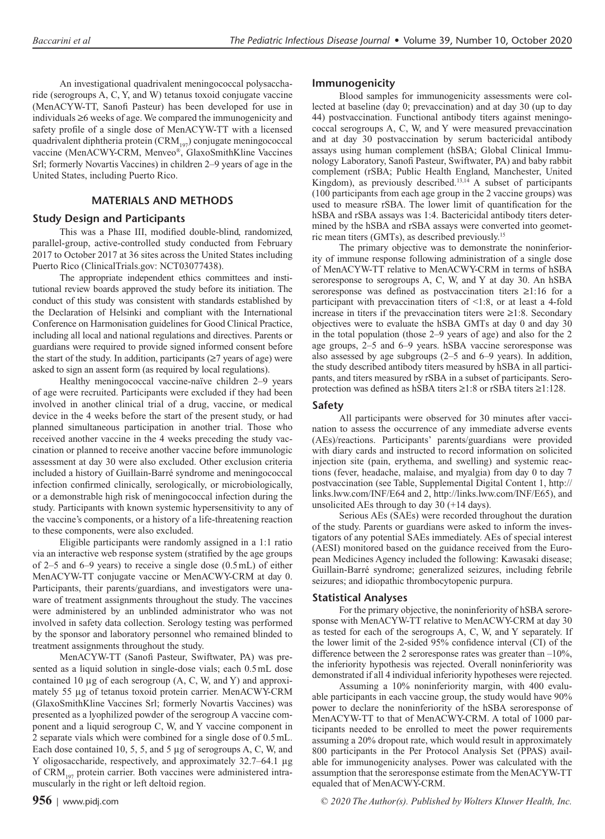An investigational quadrivalent meningococcal polysaccharide (serogroups A, C, Y, and W) tetanus toxoid conjugate vaccine (MenACYW-TT, Sanofi Pasteur) has been developed for use in individuals ≥6 weeks of age. We compared the immunogenicity and safety profile of a single dose of MenACYW-TT with a licensed quadrivalent diphtheria protein  $(CRM_{197})$  conjugate meningococcal vaccine (MenACWY-CRM, Menveo®, GlaxoSmithKline Vaccines Srl; formerly Novartis Vaccines) in children 2–9 years of age in the United States, including Puerto Rico.

# **MATERIALS AND METHODS**

## **Study Design and Participants**

This was a Phase III, modified double-blind, randomized, parallel-group, active-controlled study conducted from February 2017 to October 2017 at 36 sites across the United States including Puerto Rico (ClinicalTrials.gov: NCT03077438).

The appropriate independent ethics committees and institutional review boards approved the study before its initiation. The conduct of this study was consistent with standards established by the Declaration of Helsinki and compliant with the International Conference on Harmonisation guidelines for Good Clinical Practice, including all local and national regulations and directives. Parents or guardians were required to provide signed informed consent before the start of the study. In addition, participants  $(≥7$  years of age) were asked to sign an assent form (as required by local regulations).

Healthy meningococcal vaccine-naïve children 2–9 years of age were recruited. Participants were excluded if they had been involved in another clinical trial of a drug, vaccine, or medical device in the 4 weeks before the start of the present study, or had planned simultaneous participation in another trial. Those who received another vaccine in the 4 weeks preceding the study vaccination or planned to receive another vaccine before immunologic assessment at day 30 were also excluded. Other exclusion criteria included a history of Guillain-Barré syndrome and meningococcal infection confirmed clinically, serologically, or microbiologically, or a demonstrable high risk of meningococcal infection during the study. Participants with known systemic hypersensitivity to any of the vaccine's components, or a history of a life-threatening reaction to these components, were also excluded.

Eligible participants were randomly assigned in a 1:1 ratio via an interactive web response system (stratified by the age groups of 2–5 and 6–9 years) to receive a single dose (0.5mL) of either MenACYW-TT conjugate vaccine or MenACWY-CRM at day 0. Participants, their parents/guardians, and investigators were unaware of treatment assignments throughout the study. The vaccines were administered by an unblinded administrator who was not involved in safety data collection. Serology testing was performed by the sponsor and laboratory personnel who remained blinded to treatment assignments throughout the study.

MenACYW-TT (Sanofi Pasteur, Swiftwater, PA) was presented as a liquid solution in single-dose vials; each 0.5mL dose contained 10 μg of each serogroup (A, C, W, and Y) and approximately 55 μg of tetanus toxoid protein carrier. MenACWY-CRM (GlaxoSmithKline Vaccines Srl; formerly Novartis Vaccines) was presented as a lyophilized powder of the serogroup A vaccine component and a liquid serogroup C, W, and Y vaccine component in 2 separate vials which were combined for a single dose of 0.5mL. Each dose contained 10, 5, 5, and 5 μg of serogroups A, C, W, and Y oligosaccharide, respectively, and approximately 32.7–64.1 μg of  $CRM$ <sub>197</sub> protein carrier. Both vaccines were administered intramuscularly in the right or left deltoid region.

## **Immunogenicity**

Blood samples for immunogenicity assessments were collected at baseline (day 0; prevaccination) and at day 30 (up to day 44) postvaccination. Functional antibody titers against meningococcal serogroups A, C, W, and Y were measured prevaccination and at day 30 postvaccination by serum bactericidal antibody assays using human complement (hSBA; Global Clinical Immunology Laboratory, Sanofi Pasteur, Swiftwater, PA) and baby rabbit complement (rSBA; Public Health England, Manchester, United Kingdom), as previously described.<sup>13,14</sup> A subset of participants (100 participants from each age group in the 2 vaccine groups) was used to measure rSBA. The lower limit of quantification for the hSBA and rSBA assays was 1:4. Bactericidal antibody titers determined by the hSBA and rSBA assays were converted into geometric mean titers (GMTs), as described previously.15

The primary objective was to demonstrate the noninferiority of immune response following administration of a single dose of MenACYW-TT relative to MenACWY-CRM in terms of hSBA seroresponse to serogroups A, C, W, and Y at day 30. An hSBA seroresponse was defined as postvaccination titers ≥1:16 for a participant with prevaccination titers of <1:8, or at least a 4-fold increase in titers if the prevaccination titers were ≥1:8. Secondary objectives were to evaluate the hSBA GMTs at day 0 and day 30 in the total population (those 2–9 years of age) and also for the 2 age groups, 2–5 and 6–9 years. hSBA vaccine seroresponse was also assessed by age subgroups (2–5 and 6–9 years). In addition, the study described antibody titers measured by hSBA in all participants, and titers measured by rSBA in a subset of participants. Seroprotection was defined as hSBA titers ≥1:8 or rSBA titers ≥1:128.

## **Safety**

All participants were observed for 30 minutes after vaccination to assess the occurrence of any immediate adverse events (AEs)/reactions. Participants' parents/guardians were provided with diary cards and instructed to record information on solicited injection site (pain, erythema, and swelling) and systemic reactions (fever, headache, malaise, and myalgia) from day 0 to day 7 postvaccination (see Table, Supplemental Digital Content 1, [http://](http://links.lww.com/INF/E64) [links.lww.com/INF/E64](http://links.lww.com/INF/E64) and 2, [http://links.lww.com/INF/E65\)](http://links.lww.com/INF/E65), and unsolicited AEs through to day 30 (+14 days).

Serious AEs (SAEs) were recorded throughout the duration of the study. Parents or guardians were asked to inform the investigators of any potential SAEs immediately. AEs of special interest (AESI) monitored based on the guidance received from the European Medicines Agency included the following: Kawasaki disease; Guillain-Barré syndrome; generalized seizures, including febrile seizures; and idiopathic thrombocytopenic purpura.

## **Statistical Analyses**

For the primary objective, the noninferiority of hSBA seroresponse with MenACYW-TT relative to MenACWY-CRM at day 30 as tested for each of the serogroups A, C, W, and Y separately. If the lower limit of the 2-sided 95% confidence interval (CI) of the difference between the 2 seroresponse rates was greater than  $-10\%$ , the inferiority hypothesis was rejected. Overall noninferiority was demonstrated if all 4 individual inferiority hypotheses were rejected.

Assuming a 10% noninferiority margin, with 400 evaluable participants in each vaccine group, the study would have 90% power to declare the noninferiority of the hSBA seroresponse of MenACYW-TT to that of MenACWY-CRM. A total of 1000 participants needed to be enrolled to meet the power requirements assuming a 20% dropout rate, which would result in approximately 800 participants in the Per Protocol Analysis Set (PPAS) available for immunogenicity analyses. Power was calculated with the assumption that the seroresponse estimate from the MenACYW-TT equaled that of MenACWY-CRM.

**956** <sup>|</sup> www.pidj.com *© 2020 The Author(s). Published by Wolters Kluwer Health, Inc.*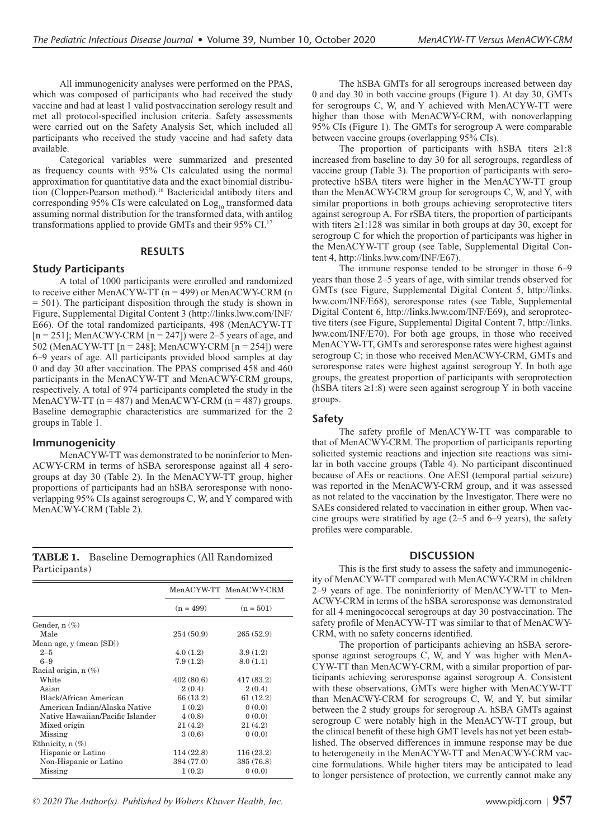All immunogenicity analyses were performed on the PPAS, which was composed of participants who had received the study vaccine and had at least 1 valid postvaccination serology result and met all protocol-specified inclusion criteria. Safety assessments were carried out on the Safety Analysis Set, which included all participants who received the study vaccine and had safety data available.

Categorical variables were summarized and presented as frequency counts with 95% CIs calculated using the normal approximation for quantitative data and the exact binomial distribution (Clopper-Pearson method).16 Bactericidal antibody titers and corresponding 95% CIs were calculated on  $Log_{10}$  transformed data assuming normal distribution for the transformed data, with antilog transformations applied to provide GMTs and their 95% CI.17

## **RESULTS**

## **Study Participants**

A total of 1000 participants were enrolled and randomized to receive either MenACYW-TT  $(n = 499)$  or MenACWY-CRM  $(n$ = 501). The participant disposition through the study is shown in Figure, Supplemental Digital Content 3 [\(http://links.lww.com/INF/](http://links.lww.com/INF/E66) [E66](http://links.lww.com/INF/E66)). Of the total randomized participants, 498 (MenACYW-TT  $[n = 251]$ ; MenACWY-CRM  $[n = 247]$ ) were 2–5 years of age, and 502 (MenACYW-TT [n = 248]; MenACWY-CRM [n = 254]) were 6–9 years of age. All participants provided blood samples at day 0 and day 30 after vaccination. The PPAS comprised 458 and 460 participants in the MenACYW-TT and MenACWY-CRM groups, respectively. A total of 974 participants completed the study in the MenACYW-TT  $(n = 487)$  and MenACWY-CRM  $(n = 487)$  groups. Baseline demographic characteristics are summarized for the 2 groups in Table 1.

#### **Immunogenicity**

MenACYW-TT was demonstrated to be noninferior to Men-ACWY-CRM in terms of hSBA seroresponse against all 4 serogroups at day 30 (Table 2). In the MenACYW-TT group, higher proportions of participants had an hSBA seroresponse with nonoverlapping 95% CIs against serogroups C, W, and Y compared with MenACWY-CRM (Table 2).

|               | <b>TABLE 1.</b> Baseline Demographics (All Randomized |
|---------------|-------------------------------------------------------|
| Participants) |                                                       |

|                                  |             | MenACYW-TT MenACWY-CRM |  |
|----------------------------------|-------------|------------------------|--|
|                                  | $(n = 499)$ | $(n = 501)$            |  |
| Gender, $n$ $(\%)$               |             |                        |  |
| Male                             | 254 (50.9)  | 265(52.9)              |  |
| Mean age, y (mean [SD])          |             |                        |  |
| $2 - 5$                          | 4.0(1.2)    | 3.9(1.2)               |  |
| $6 - 9$                          | 7.9(1.2)    | 8.0(1.1)               |  |
| Racial origin, $n$ $(\%)$        |             |                        |  |
| White                            | 402(80.6)   | 417 (83.2)             |  |
| Asian                            | 2(0.4)      | 2(0.4)                 |  |
| Black/African American           | 66 (13.2)   | 61(12.2)               |  |
| American Indian/Alaska Native    | 1(0.2)      | 0(0.0)                 |  |
| Native Hawaiian/Pacific Islander | 4(0.8)      | 0(0.0)                 |  |
| Mixed origin                     | 21(4.2)     | 21(4.2)                |  |
| Missing                          | 3(0.6)      | 0(0.0)                 |  |
| Ethnicity, n (%)                 |             |                        |  |
| Hispanic or Latino               | 114(22.8)   | 116(23.2)              |  |
| Non-Hispanic or Latino           | 384 (77.0)  | 385 (76.8)             |  |
| Missing                          | 1(0.2)      | 0(0.0)                 |  |

*© 2020 The Author(s). Published by Wolters Kluwer Health, Inc.* www.pidj.com <sup>|</sup> **957**

The hSBA GMTs for all serogroups increased between day 0 and day 30 in both vaccine groups (Figure 1). At day 30, GMTs for serogroups C, W, and Y achieved with MenACYW-TT were higher than those with MenACWY-CRM, with nonoverlapping 95% CIs (Figure 1). The GMTs for serogroup A were comparable between vaccine groups (overlapping 95% CIs).

The proportion of participants with hSBA titers  $\geq 1:8$ increased from baseline to day 30 for all serogroups, regardless of vaccine group (Table 3). The proportion of participants with seroprotective hSBA titers were higher in the MenACYW-TT group than the MenACWY-CRM group for serogroups C, W, and Y, with similar proportions in both groups achieving seroprotective titers against serogroup A. For rSBA titers, the proportion of participants with titers ≥1:128 was similar in both groups at day 30, except for serogroup C for which the proportion of participants was higher in the MenACYW-TT group (see Table, Supplemental Digital Content 4, <http://links.lww.com/INF/E67>).

The immune response tended to be stronger in those 6–9 years than those 2–5 years of age, with similar trends observed for GMTs (see Figure, Supplemental Digital Content 5, [http://links.](http://links.lww.com/INF/E68) [lww.com/INF/E68](http://links.lww.com/INF/E68)), seroresponse rates (see Table, Supplemental Digital Content 6, [http://links.lww.com/INF/E69\)](http://links.lww.com/INF/E69), and seroprotective titers (see Figure, Supplemental Digital Content 7, [http://links.](http://links.lww.com/INF/E70) [lww.com/INF/E70](http://links.lww.com/INF/E70)). For both age groups, in those who received MenACYW-TT, GMTs and seroresponse rates were highest against serogroup C; in those who received MenACWY-CRM, GMTs and seroresponse rates were highest against serogroup Y. In both age groups, the greatest proportion of participants with seroprotection (hSBA titers  $\geq$ 1:8) were seen against serogroup Y in both vaccine groups.

## **Safety**

The safety profile of MenACYW-TT was comparable to that of MenACWY-CRM. The proportion of participants reporting solicited systemic reactions and injection site reactions was similar in both vaccine groups (Table 4). No participant discontinued because of AEs or reactions. One AESI (temporal partial seizure) was reported in the MenACWY-CRM group, and it was assessed as not related to the vaccination by the Investigator. There were no SAEs considered related to vaccination in either group. When vaccine groups were stratified by age (2–5 and 6–9 years), the safety profiles were comparable.

#### **DISCUSSION**

This is the first study to assess the safety and immunogenicity of MenACYW-TT compared with MenACWY-CRM in children 2–9 years of age. The noninferiority of MenACYW-TT to Men-ACWY-CRM in terms of the hSBA seroresponse was demonstrated for all 4 meningococcal serogroups at day 30 postvaccination. The safety profile of MenACYW-TT was similar to that of MenACWY-CRM, with no safety concerns identified.

The proportion of participants achieving an hSBA seroresponse against serogroups C, W, and Y was higher with MenA-CYW-TT than MenACWY-CRM, with a similar proportion of participants achieving seroresponse against serogroup A. Consistent with these observations, GMTs were higher with MenACYW-TT than MenACWY-CRM for serogroups C, W, and Y, but similar between the 2 study groups for serogroup A. hSBA GMTs against serogroup C were notably high in the MenACYW-TT group, but the clinical benefit of these high GMT levels has not yet been established. The observed differences in immune response may be due to heterogeneity in the MenACYW-TT and MenACWY-CRM vaccine formulations. While higher titers may be anticipated to lead to longer persistence of protection, we currently cannot make any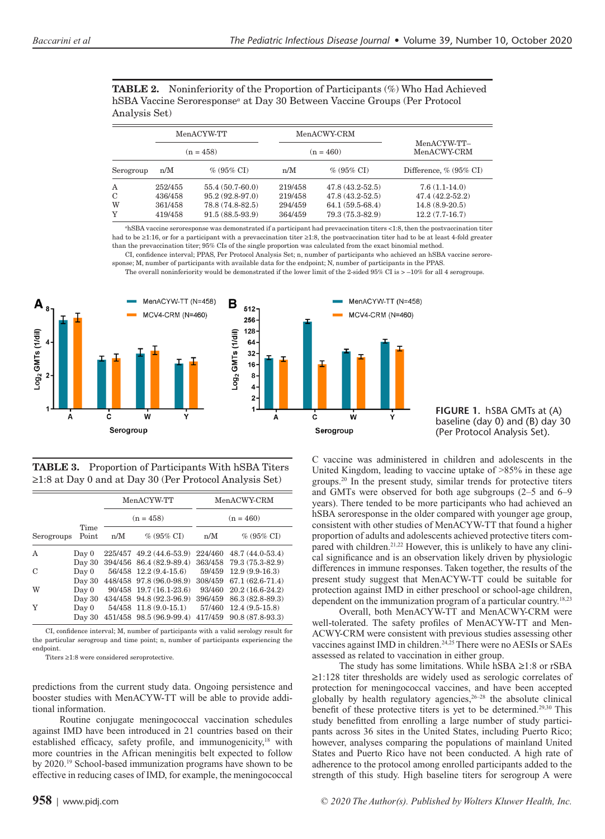**TABLE 2.** Noninferiority of the Proportion of Participants (%) Who Had Achieved hSBA Vaccine Seroresponse*<sup>a</sup>* at Day 30 Between Vaccine Groups (Per Protocol Analysis Set)

|             | MenACYW-TT |                   |         | MenACWY-CRM                |                               |  |
|-------------|------------|-------------------|---------|----------------------------|-------------------------------|--|
| $(n = 458)$ |            | $(n = 460)$       |         | MenACYW-TT-<br>MenACWY-CRM |                               |  |
| Serogroup   | n/M        | $\%$ (95% CI)     | n/M     | $\%$ (95% CI)              | Difference, $\%$ (95 $\%$ CI) |  |
| A           | 252/455    | 55.4 (50.7-60.0)  | 219/458 | $47.8(43.2-52.5)$          | $7.6(1.1-14.0)$               |  |
| С           | 436/458    | $95.2(92.8-97.0)$ | 219/458 | $47.8(43.2-52.5)$          | 47.4 (42.2-52.2)              |  |
| W           | 361/458    | 78.8 (74.8-82.5)  | 294/459 | $64.1(59.5-68.4)$          | $14.8(8.9-20.5)$              |  |
| Y           | 419/458    | $91.5(88.5-93.9)$ | 364/459 | 79.3 (75.3-82.9)           | $12.2(7.7-16.7)$              |  |

*<sup>a</sup>*hSBA vaccine seroresponse was demonstrated if a participant had prevaccination titers <1:8, then the postvaccination titer had to be ≥1:16, or for a participant with a prevaccination titer ≥1:8, the postvaccination titer had to be at least 4-fold greater than the prevaccination titer; 95% CIs of the single proportion was calculated from the exact binomial method.

CI, confidence interval; PPAS, Per Protocol Analysis Set; n, number of participants who achieved an hSBA vaccine seroresponse; M, number of participants with available data for the endpoint; N, number of participants in the PPAS.

The overall noninferiority would be demonstrated if the lower limit of the 2-sided 95% CI is  $> -10\%$  for all 4 serogroups.



**TABLE 3.** Proportion of Participants With hSBA Titers ≥1:8 at Day 0 and at Day 30 (Per Protocol Analysis Set)

|            |               |             | MenACYW-TT               | MenACWY-CRM |                   |  |
|------------|---------------|-------------|--------------------------|-------------|-------------------|--|
|            |               | $(n = 458)$ |                          |             | $(n = 460)$       |  |
| Serogroups | Time<br>Point | n/M         | $\%$ (95% CI)            | n/M         | $\%$ (95% CI)     |  |
| A          | Day 0         |             | 225/457 49.2 (44.6-53.9) | 224/460     | $48.7(44.0-53.4)$ |  |
|            | Day 30        |             | 394/456 86.4 (82.9-89.4) | 363/458     | 79.3 (75.3-82.9)  |  |
| C          | Day 0         |             | 56/458 12.2 (9.4-15.6)   | 59/459      | $12.9(9.9-16.3)$  |  |
|            | Day 30        |             | 448/458 97.8 (96.0-98.9) | 308/459     | $67.1(62.6-71.4)$ |  |
| W          | Day 0         |             | 90/458 19.7 (16.1-23.6)  | 93/460      | $20.2(16.6-24.2)$ |  |
|            | Day 30        |             | 434/458 94.8 (92.3-96.9) | 396/459     | 86.3 (82.8-89.3)  |  |
| Y          | Day 0         |             | 54/458 11.8 (9.0-15.1)   | 57/460      | $12.4(9.5-15.8)$  |  |
|            | Day 30        |             | 451/458 98.5 (96.9-99.4) | 417/459     | 90.8 (87.8-93.3)  |  |

CI, confidence interval; M, number of participants with a valid serology result for the particular serogroup and time point; n, number of participants experiencing the endpoint.

Titers ≥1:8 were considered seroprotective.

predictions from the current study data. Ongoing persistence and booster studies with MenACYW-TT will be able to provide additional information.

Routine conjugate meningococcal vaccination schedules against IMD have been introduced in 21 countries based on their established efficacy, safety profile, and immunogenicity,<sup>18</sup> with more countries in the African meningitis belt expected to follow by 2020.<sup>19</sup> School-based immunization programs have shown to be effective in reducing cases of IMD, for example, the meningococcal

**958** <sup>|</sup> www.pidj.com *© 2020 The Author(s). Published by Wolters Kluwer Health, Inc.*



C vaccine was administered in children and adolescents in the United Kingdom, leading to vaccine uptake of >85% in these age groups.20 In the present study, similar trends for protective titers and GMTs were observed for both age subgroups (2–5 and 6–9 years). There tended to be more participants who had achieved an hSBA seroresponse in the older compared with younger age group, consistent with other studies of MenACYW-TT that found a higher proportion of adults and adolescents achieved protective titers compared with children.<sup>21,22</sup> However, this is unlikely to have any clinical significance and is an observation likely driven by physiologic differences in immune responses. Taken together, the results of the present study suggest that MenACYW-TT could be suitable for protection against IMD in either preschool or school-age children, dependent on the immunization program of a particular country.18,23

Overall, both MenACYW-TT and MenACWY-CRM were well-tolerated. The safety profiles of MenACYW-TT and Men-ACWY-CRM were consistent with previous studies assessing other vaccines against IMD in children.<sup>24,25</sup> There were no AESIs or SAEs assessed as related to vaccination in either group.

The study has some limitations. While hSBA ≥1:8 or rSBA ≥1:128 titer thresholds are widely used as serologic correlates of protection for meningococcal vaccines, and have been accepted globally by health regulatory agencies,<sup>26-28</sup> the absolute clinical benefit of these protective titers is yet to be determined.29,30 This study benefitted from enrolling a large number of study participants across 36 sites in the United States, including Puerto Rico; however, analyses comparing the populations of mainland United States and Puerto Rico have not been conducted. A high rate of adherence to the protocol among enrolled participants added to the strength of this study. High baseline titers for serogroup A were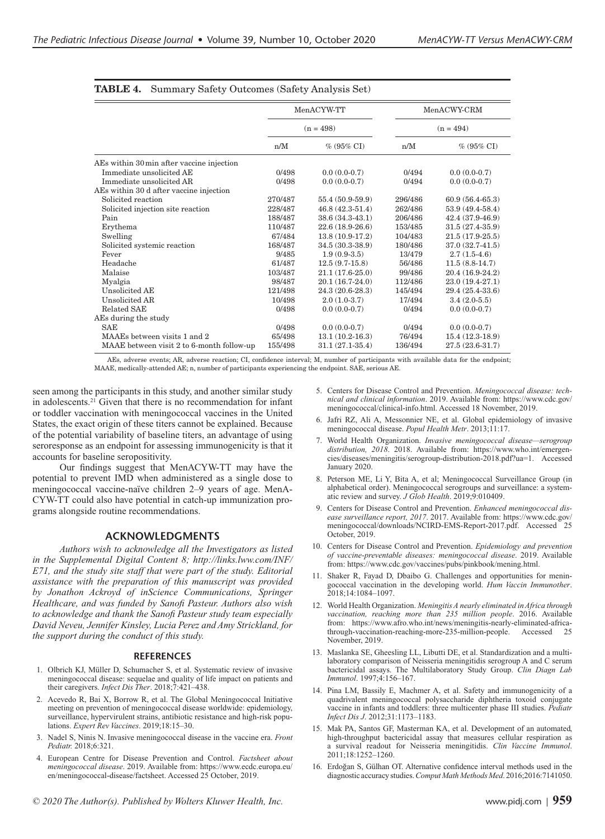|                                           |         | MenACYW-TT          | MenACWY-CRM<br>$(n = 494)$ |                   |  |
|-------------------------------------------|---------|---------------------|----------------------------|-------------------|--|
|                                           |         | $(n = 498)$         |                            |                   |  |
|                                           | n/M     | $\%$ (95% CI)       | n/M                        | $\%$ (95% CI)     |  |
| AEs within 30 min after vaccine injection |         |                     |                            |                   |  |
| Immediate unsolicited AE                  | 0/498   | $0.0(0.0-0.7)$      | 0/494                      | $0.0(0.0-0.7)$    |  |
| Immediate unsolicited AR                  | 0/498   | $0.0(0.0-0.7)$      | 0/494                      | $0.0(0.0-0.7)$    |  |
| AEs within 30 d after vaccine injection   |         |                     |                            |                   |  |
| Solicited reaction                        | 270/487 | 55.4 (50.9-59.9)    | 296/486                    | $60.9(56.4-65.3)$ |  |
| Solicited injection site reaction         | 228/487 | $46.8(42.3-51.4)$   | 262/486                    | 53.9 (49.4-58.4)  |  |
| Pain                                      | 188/487 | $38.6(34.3-43.1)$   | 206/486                    | 42.4 (37.9-46.9)  |  |
| Erythema                                  | 110/487 | $22.6(18.9-26.6)$   | 153/485                    | $31.5(27.4-35.9)$ |  |
| Swelling                                  | 67/484  | $13.8(10.9-17.2)$   | 104/483                    | $21.5(17.9-25.5)$ |  |
| Solicited systemic reaction               | 168/487 | 34.5 (30.3-38.9)    | 180/486                    | 37.0 (32.7-41.5)  |  |
| Fever                                     | 9/485   | $1.9(0.9-3.5)$      | 13/479                     | $2.7(1.5-4.6)$    |  |
| Headache                                  | 61/487  | $12.5(9.7-15.8)$    | 56/486                     | $11.5(8.8-14.7)$  |  |
| Malaise                                   | 103/487 | 21.1 (17.6-25.0)    | 99/486                     | $20.4(16.9-24.2)$ |  |
| Myalgia                                   | 98/487  | $20.1(16.7-24.0)$   | 112/486                    | $23.0(19.4-27.1)$ |  |
| <b>Unsolicited AE</b>                     | 121/498 | 24.3 (20.6-28.3)    | 145/494                    | 29.4 (25.4-33.6)  |  |
| Unsolicited AR                            | 10/498  | $2.0(1.0-3.7)$      | 17/494                     | $3.4(2.0-5.5)$    |  |
| Related SAE                               | 0/498   | $0.0(0.0-0.7)$      | 0/494                      | $0.0(0.0-0.7)$    |  |
| AEs during the study                      |         |                     |                            |                   |  |
| <b>SAE</b>                                | 0/498   | $0.0(0.0-0.7)$      | 0/494                      | $0.0(0.0-0.7)$    |  |
| MAAEs between visits 1 and 2              | 65/498  | $13.1(10.2-16.3)$   | 76/494                     | $15.4(12.3-18.9)$ |  |
| MAAE between visit 2 to 6-month follow-up | 155/498 | $31.1(27.1 - 35.4)$ | 136/494                    | 27.5 (23.6-31.7)  |  |

## **TABLE 4.** Summary Safety Outcomes (Safety Analysis Set)

AEs, adverse events; AR, adverse reaction; CI, confidence interval; M, number of participants with available data for the endpoint; MAAE, medically-attended AE; n, number of participants experiencing the endpoint. SAE, serious AE.

seen among the participants in this study, and another similar study in adolescents.21 Given that there is no recommendation for infant or toddler vaccination with meningococcal vaccines in the United States, the exact origin of these titers cannot be explained. Because of the potential variability of baseline titers, an advantage of using seroresponse as an endpoint for assessing immunogenicity is that it accounts for baseline seropositivity.

Our findings suggest that MenACYW-TT may have the potential to prevent IMD when administered as a single dose to meningococcal vaccine-naïve children 2–9 years of age. MenA-CYW-TT could also have potential in catch-up immunization programs alongside routine recommendations.

#### **ACKNOWLEDGMENTS**

*Authors wish to acknowledge all the Investigators as listed in the Supplemental Digital Content 8; [http://links.lww.com/INF/](http://links.lww.com/INF/E71) [E71](http://links.lww.com/INF/E71), and the study site staff that were part of the study. Editorial assistance with the preparation of this manuscript was provided by Jonathon Ackroyd of inScience Communications, Springer Healthcare, and was funded by Sanofi Pasteur. Authors also wish to acknowledge and thank the Sanofi Pasteur study team especially David Neveu, Jennifer Kinsley, Lucia Perez and Amy Strickland, for the support during the conduct of this study.*

#### **REFERENCES**

- 1. Olbrich KJ, Müller D, Schumacher S, et al. Systematic review of invasive meningococcal disease: sequelae and quality of life impact on patients and their caregivers. *Infect Dis Ther*. 2018;7:421–438.
- 2. Acevedo R, Bai X, Borrow R, et al. The Global Meningococcal Initiative meeting on prevention of meningococcal disease worldwide: epidemiology, surveillance, hypervirulent strains, antibiotic resistance and high-risk populations. *Expert Rev Vaccines*. 2019;18:15–30.
- 3. Nadel S, Ninis N. Invasive meningococcal disease in the vaccine era. *Front Pediatr.* 2018;6:321.
- 4. European Centre for Disease Prevention and Control. *Factsheet about meningococcal disease*. 2019. Available from: [https://www.ecdc.europa.eu/](https://www.ecdc.europa.eu/en/meningococcal-disease/factsheet) [en/meningococcal-disease/factsheet.](https://www.ecdc.europa.eu/en/meningococcal-disease/factsheet) Accessed 25 October, 2019.
- 5. Centers for Disease Control and Prevention. *Meningococcal disease: technical and clinical information*. 2019. Available from: [https://www.cdc.gov/](https://www.cdc.gov/meningococcal/clinical-info.html) [meningococcal/clinical-info.html.](https://www.cdc.gov/meningococcal/clinical-info.html) Accessed 18 November, 2019.
- 6. Jafri RZ, Ali A, Messonnier NE, et al. Global epidemiology of invasive meningococcal disease. *Popul Health Metr*. 2013;11:17.
- 7. World Health Organization. *Invasive meningococcal disease—serogroup distribution, 2018*. 2018. Available from: [https://www.who.int/emergen](https://www.who.int/emergencies/diseases/meningitis/serogroup-distribution-2018.pdf?ua=1)[cies/diseases/meningitis/serogroup-distribution-2018.pdf?ua=1](https://www.who.int/emergencies/diseases/meningitis/serogroup-distribution-2018.pdf?ua=1). Accessed January 2020.
- 8. Peterson ME, Li Y, Bita A, et al; Meningococcal Surveillance Group (in alphabetical order). Meningococcal serogroups and surveillance: a systematic review and survey. *J Glob Health*. 2019;9:010409.
- 9. Centers for Disease Control and Prevention. *Enhanced meningococcal disease surveillance report, 2017*. 2017. Available from: [https://www.cdc.gov/](https://www.cdc.gov/meningococcal/downloads/NCIRD-EMS-Report-2017.pdf) [meningococcal/downloads/NCIRD-EMS-Report-2017.pdf](https://www.cdc.gov/meningococcal/downloads/NCIRD-EMS-Report-2017.pdf). Accessed 25 October, 2019.
- 10. Centers for Disease Control and Prevention. *Epidemiology and prevention of vaccine-preventable diseases: meningococcal disease*. 2019. Available from: [https://www.cdc.gov/vaccines/pubs/pinkbook/mening.html.](https://www.cdc.gov/vaccines/pubs/pinkbook/mening.html)
- 11. Shaker R, Fayad D, Dbaibo G. Challenges and opportunities for meningococcal vaccination in the developing world. *Hum Vaccin Immunother*. 2018;14:1084–1097.
- 12. World Health Organization. *Meningitis A nearly eliminated in Africa through vaccination, reaching more than 235 million people*. 2016. Available from: [https://www.afro.who.int/news/meningitis-nearly-eliminated-africa](https://www.afro.who.int/news/meningitis-nearly-eliminated-africa-through-vaccination-reaching-more-235-million-people)[through-vaccination-reaching-more-235-million-people.](https://www.afro.who.int/news/meningitis-nearly-eliminated-africa-through-vaccination-reaching-more-235-million-people) Accessed 25 November, 2019.
- 13. Maslanka SE, Gheesling LL, Libutti DE, et al. Standardization and a multilaboratory comparison of Neisseria meningitidis serogroup A and C serum bactericidal assays. The Multilaboratory Study Group. *Clin Diagn Lab Immunol*. 1997;4:156–167.
- 14. Pina LM, Bassily E, Machmer A, et al. Safety and immunogenicity of a quadrivalent meningococcal polysaccharide diphtheria toxoid conjugate vaccine in infants and toddlers: three multicenter phase III studies. *Pediatr Infect Dis J*. 2012;31:1173–1183.
- 15. Mak PA, Santos GF, Masterman KA, et al. Development of an automated, high-throughput bactericidal assay that measures cellular respiration as a survival readout for Neisseria meningitidis. *Clin Vaccine Immunol*. 2011;18:1252–1260.
- 16. Erdoğan S, Gülhan OT. Alternative confidence interval methods used in the diagnostic accuracy studies. *Comput Math Methods Med*. 2016;2016:7141050.